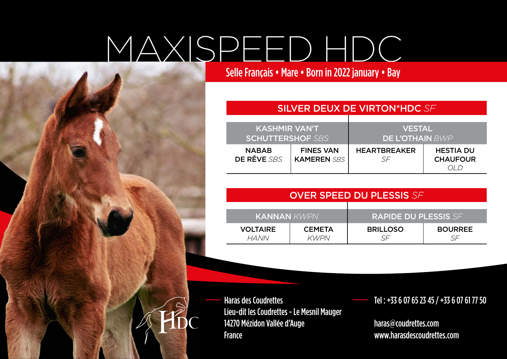## MAXISPEED HDC

Selle Français • Mare • Born in 2022 january • Bay

## SILVER DEUX DE VIRTON\*HDC *SF*

| <b>KASHMIR VAN'T</b>     |                    | <b>VESTAL</b>          |                  |
|--------------------------|--------------------|------------------------|------------------|
| <b>ISCHUTTERSHOF SBS</b> |                    | <b>DE L'OTHAIN</b> BWP |                  |
| <b>NABAB</b>             | <b>FINES VAN</b>   | <b>HEARTBREAKER</b>    | <b>HESTIA DU</b> |
| DE RÊVE SBS              | <b>KAMEREN SBS</b> |                        | <b>CHAUFOUR</b>  |

| <b>OVER SPEED DU PLESSIS SF</b> |                              |                             |                |  |
|---------------------------------|------------------------------|-----------------------------|----------------|--|
| <b>KANNAN KWPN</b>              |                              | <b>RAPIDE DU PLESSIS SF</b> |                |  |
| <b>VOLTAIRE</b><br><b>HANN</b>  | <b>CEMETA</b><br><b>KWPN</b> | <b>BRILLOSO</b>             | <b>BOURREE</b> |  |

Haras des Coudrettes Lieu-dit les Coudrettes - Le Mesnil Mauger 14270 Mézidon Vallée d'Auge France

\_\_ Tel : +33 6 07 65 23 45 / +33 6 07 61 77 50

haras@coudrettes.com www.harasdescoudrettes.com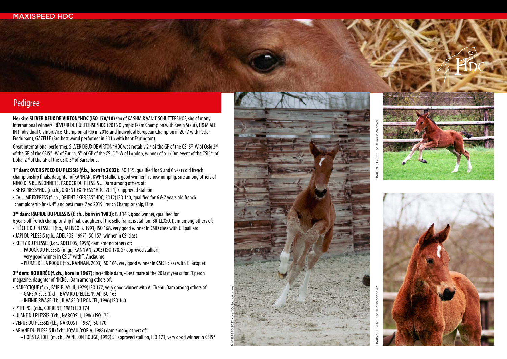## Pedigree

**Her sire SILVER DEUX DE VIRTON\*HDC (ISO 170/18)** son of KASHMIR VAN'T SCHUTTERSHOF, sire of many international winners: RÊVEUR DE HURTEBISE\*HDC (2016 Olympic Team Champion with Kevin Staut), H&M ALL IN (Individual Olympic Vice-Champion at Rio in 2016 and Individual European Champion in 2017 with Peder Fredricson), GAZELLE (3rd best world performer in 2016 with Kent Farrington).

Great international performer, SILVER DEUX DE VIRTON\*HDC was notably 2<sup>nd</sup> of the GP of the CSI 5<sup>\*</sup>-W of Oslo 3<sup>rd</sup> of the GP of the CSI5\* -W of Zurich, 5<sup>th</sup> of GP of the CSI 5 \*-W of London, winner of a 1.60m event of the CSI5\* of Doha, 2nd of the GP of the CSIO 5\* of Barcelona.

**1st dam: OVER SPEED DU PLESSIS (f.b., born in 2002):** ISO 135, qualified for 5 and 6 years old french championship nals, daughter of KANNAN, KWPN stallion, good winner in show jumping, sire among others of NINO DES BUISSONNETS, PADOCK DU PLESSIS ... Dam among others of:

- BE EXPRESS\*HDC (m.ch., ORIENT EXPRESS\*HDC, 2011) Z approved stallion
- CALL ME EXPRESS (f. ch., ORIENT EXPRESS\*HDC, 2012) ISO 140, qualified for 6 & 7 years old french championship final, 4<sup>th</sup> and best mare 7 yo 2019 French Championship, Elite

2<sup>nd</sup> dam: RAPIDE DU PLESSIS (f. ch., born in 1983): ISO 143, good winner, qualified for 6 years olf french championship nal, daughter of the selle francais stallion, BRILLOSO. Dam among others of: • FLÈCHE DU PLESSIS II (f.b., JALISCO B, 1993) ISO 168, very good winner in CSIO class with J. Epaillard • JAPI DU PLESSIS (g.b., ADELFOS, 1997) ISO 157, winner in CSI class

• KETTY DU PLESSIS (f.gr., ADELFOS, 1998) dam among others of: - PADOCK DU PLESSIS (m.gr., KANNAN, 2003) ISO 178, SF approved stallion, very good winner in CSI5\* with T. Anciaume - PLUME DE LA ROQUE (f.b., KANNAN, 2003) ISO 166, very good winner in CSI5\* class with F. Busquet

**3rd dam: BOURRÉE (f. ch., born in 1967):** incredible dam, «Best mare of the 20 last years» for L'Eperon magazine, daughter of NICKEL. Dam among others of:

- NARCOTIQUE (f.ch., FAIR PLAY III, 1979) ISO 177, very good winner with A. Chenu. Dam among others of: - GARE À ELLE (f. ch., BAYARD D'ELLE, 1994) ISO 163 - INFINIE RIVAGE (f.b., RIVAGE DU PONCEL, 1996) ISO 160
- P'TIT POL (g.b., CORRENT, 1981) ISO 174
- ULANE DU PLESSIS (f.ch., NARCOS II, 1986) ISO 175
- VENUS DU PLESSIS (f.b., NARCOS II, 1987) ISO 170
- ARIANE DU PLESSIS II (f.ch., JOYAU D'OR A, 1988) dam among others of: - HORS LA LOI II (m. ch., PAPILLON ROUGE, 1995) SF approved stallion, ISO 171, very good winner in CSI5\*



MAXISPEED 2022 - Lys ©Collection privée